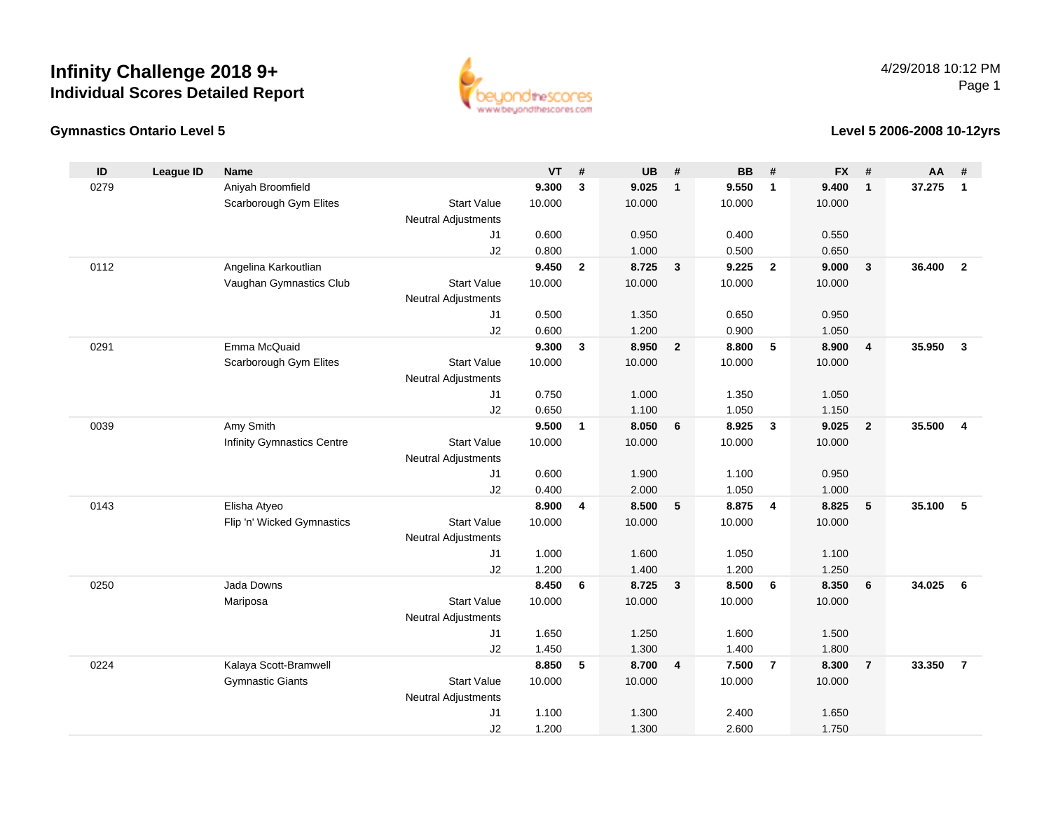## **Infinity Challenge 2018 9+Individual Scores Detailed Report**



#### **Gymnastics Ontario Level 5**

#### **Level 5 2006-2008 10-12yrs**

| ID   | <b>League ID</b> | <b>Name</b>                |                            | <b>VT</b> | #              | <b>UB</b> | #                       | <b>BB</b> | #              | <b>FX</b>      | #              | $AA$ # |                |
|------|------------------|----------------------------|----------------------------|-----------|----------------|-----------|-------------------------|-----------|----------------|----------------|----------------|--------|----------------|
| 0279 |                  | Aniyah Broomfield          |                            | 9.300     | $\mathbf{3}$   | 9.025     | $\mathbf{1}$            | 9.550     | $\mathbf{1}$   | 9.400          | $\mathbf{1}$   | 37.275 | $\mathbf{1}$   |
|      |                  | Scarborough Gym Elites     | <b>Start Value</b>         | 10.000    |                | 10.000    |                         | 10.000    |                | 10.000         |                |        |                |
|      |                  |                            | <b>Neutral Adjustments</b> |           |                |           |                         |           |                |                |                |        |                |
|      |                  |                            | J <sub>1</sub>             | 0.600     |                | 0.950     |                         | 0.400     |                | 0.550          |                |        |                |
|      |                  |                            | J2                         | 0.800     |                | 1.000     |                         | 0.500     |                | 0.650          |                |        |                |
| 0112 |                  | Angelina Karkoutlian       |                            | 9.450     | $\mathbf{2}$   | 8.725     | $\overline{\mathbf{3}}$ | 9.225     | $\overline{2}$ | 9.000          | $\mathbf{3}$   | 36.400 | $\overline{2}$ |
|      |                  | Vaughan Gymnastics Club    | <b>Start Value</b>         | 10.000    |                | 10.000    |                         | 10.000    |                | 10.000         |                |        |                |
|      |                  |                            | <b>Neutral Adjustments</b> |           |                |           |                         |           |                |                |                |        |                |
|      |                  |                            | J <sub>1</sub>             | 0.500     |                | 1.350     |                         | 0.650     |                | 0.950          |                |        |                |
|      |                  |                            | J2                         | 0.600     |                | 1.200     |                         | 0.900     |                | 1.050          |                |        |                |
| 0291 |                  | Emma McQuaid               |                            | 9.300     | $\mathbf{3}$   | 8.950     | $\overline{2}$          | 8.800     | 5              | 8.900          | $\overline{4}$ | 35.950 | $\mathbf{3}$   |
|      |                  | Scarborough Gym Elites     | <b>Start Value</b>         | 10.000    |                | 10.000    |                         | 10.000    |                | 10.000         |                |        |                |
|      |                  |                            | <b>Neutral Adjustments</b> |           |                |           |                         |           |                |                |                |        |                |
|      |                  |                            | J <sub>1</sub>             | 0.750     |                | 1.000     |                         | 1.350     |                | 1.050          |                |        |                |
|      |                  |                            | J2                         | 0.650     |                | 1.100     |                         | 1.050     |                | 1.150          |                |        |                |
| 0039 |                  | Amy Smith                  |                            | 9.500     | $\mathbf{1}$   | 8.050     | 6                       | 8.925     | $\mathbf{3}$   | 9.025          | $\overline{2}$ | 35.500 | $\overline{4}$ |
|      |                  | Infinity Gymnastics Centre | <b>Start Value</b>         | 10.000    |                | 10.000    |                         | 10.000    |                | 10.000         |                |        |                |
|      |                  |                            | <b>Neutral Adjustments</b> |           |                |           |                         |           |                |                |                |        |                |
|      |                  |                            | J <sub>1</sub>             | 0.600     |                | 1.900     |                         | 1.100     |                | 0.950          |                |        |                |
|      |                  |                            | J2                         | 0.400     |                | 2.000     |                         | 1.050     |                | 1.000          |                |        |                |
| 0143 |                  | Elisha Atyeo               |                            | 8.900     | $\overline{4}$ | 8.500     | $5\phantom{.0}$         | 8.875     | $\overline{4}$ | 8.825          | 5              | 35.100 | 5              |
|      |                  | Flip 'n' Wicked Gymnastics | <b>Start Value</b>         | 10.000    |                | 10.000    |                         | 10.000    |                | 10.000         |                |        |                |
|      |                  |                            | <b>Neutral Adjustments</b> |           |                |           |                         |           |                |                |                |        |                |
|      |                  |                            | J <sub>1</sub>             | 1.000     |                | 1.600     |                         | 1.050     |                | 1.100          |                |        |                |
|      |                  | Jada Downs                 | J2                         | 1.200     |                | 1.400     |                         | 1.200     |                | 1.250          |                |        |                |
| 0250 |                  |                            |                            | 8.450     | 6              | 8.725     | $\overline{\mathbf{3}}$ | 8.500     | 6              | 8.350          | 6              | 34.025 | 6              |
|      |                  | Mariposa                   | <b>Start Value</b>         | 10.000    |                | 10.000    |                         | 10.000    |                | 10.000         |                |        |                |
|      |                  |                            | <b>Neutral Adjustments</b> | 1.650     |                | 1.250     |                         | 1.600     |                | 1.500          |                |        |                |
|      |                  |                            | J1                         | 1.450     |                | 1.300     |                         | 1.400     |                |                |                |        |                |
| 0224 |                  | Kalaya Scott-Bramwell      | J2                         | 8.850     | 5              | 8.700     | $\overline{\mathbf{4}}$ | 7.500     | $\overline{7}$ | 1.800<br>8.300 | $\overline{7}$ | 33.350 | $\overline{7}$ |
|      |                  | <b>Gymnastic Giants</b>    | <b>Start Value</b>         | 10.000    |                | 10.000    |                         | 10.000    |                | 10.000         |                |        |                |
|      |                  |                            | <b>Neutral Adjustments</b> |           |                |           |                         |           |                |                |                |        |                |
|      |                  |                            | J <sub>1</sub>             | 1.100     |                | 1.300     |                         | 2.400     |                | 1.650          |                |        |                |
|      |                  |                            | J2                         | 1.200     |                | 1.300     |                         | 2.600     |                | 1.750          |                |        |                |
|      |                  |                            |                            |           |                |           |                         |           |                |                |                |        |                |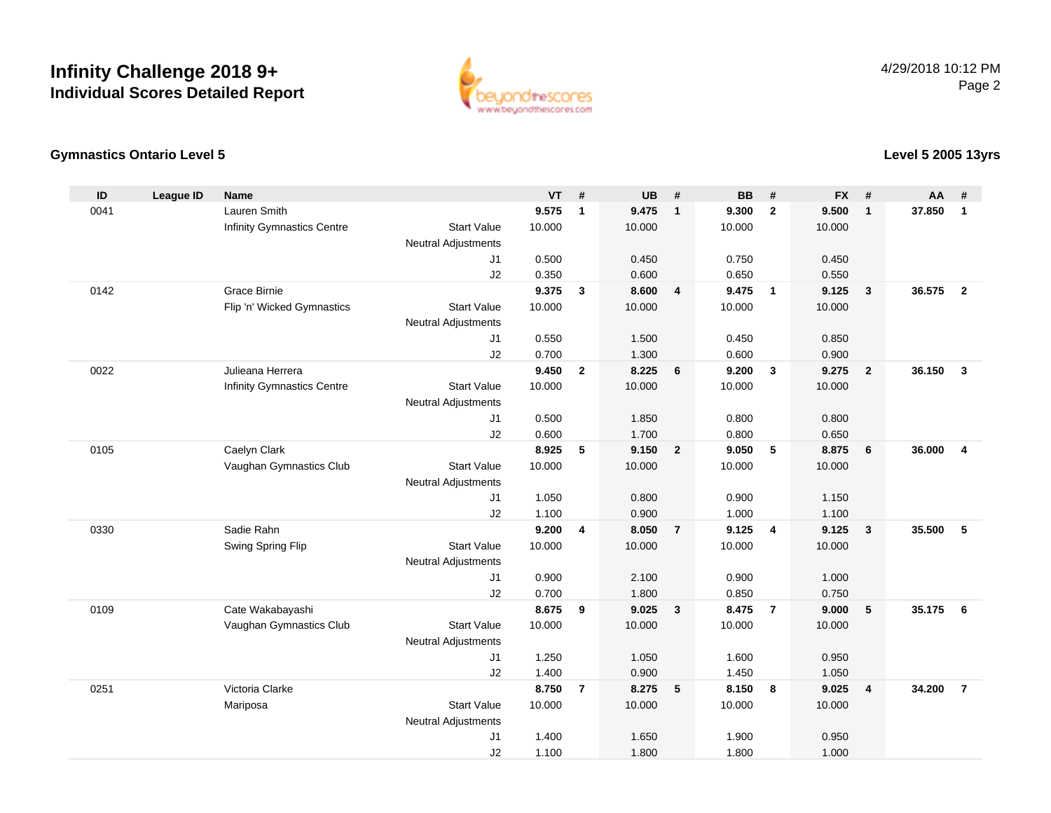# **Infinity Challenge 2018 9+Individual Scores Detailed Report**



### **Gymnastics Ontario Level 5**

### **Level 5 2005 13yrs**

| ID   | <b>League ID</b> | <b>Name</b>                       |                            | <b>VT</b> | #              | <b>UB</b> | #                       | <b>BB</b> | #              | <b>FX</b> | #              | <b>AA</b> | #              |
|------|------------------|-----------------------------------|----------------------------|-----------|----------------|-----------|-------------------------|-----------|----------------|-----------|----------------|-----------|----------------|
| 0041 |                  | Lauren Smith                      |                            | 9.575     | $\mathbf{1}$   | 9.475     | $\overline{1}$          | 9.300     | $\overline{2}$ | 9.500     | $\mathbf{1}$   | 37.850    | $\mathbf{1}$   |
|      |                  | <b>Infinity Gymnastics Centre</b> | <b>Start Value</b>         | 10.000    |                | 10.000    |                         | 10.000    |                | 10.000    |                |           |                |
|      |                  |                                   | <b>Neutral Adjustments</b> |           |                |           |                         |           |                |           |                |           |                |
|      |                  |                                   | J <sub>1</sub>             | 0.500     |                | 0.450     |                         | 0.750     |                | 0.450     |                |           |                |
|      |                  |                                   | J2                         | 0.350     |                | 0.600     |                         | 0.650     |                | 0.550     |                |           |                |
| 0142 |                  | Grace Birnie                      |                            | 9.375     | $\mathbf{3}$   | 8.600     | $\overline{4}$          | 9.475     | $\overline{1}$ | 9.125     | 3              | 36.575    | $\overline{2}$ |
|      |                  | Flip 'n' Wicked Gymnastics        | <b>Start Value</b>         | 10.000    |                | 10.000    |                         | 10.000    |                | 10.000    |                |           |                |
|      |                  |                                   | <b>Neutral Adjustments</b> |           |                |           |                         |           |                |           |                |           |                |
|      |                  |                                   | J1                         | 0.550     |                | 1.500     |                         | 0.450     |                | 0.850     |                |           |                |
|      |                  |                                   | J2                         | 0.700     |                | 1.300     |                         | 0.600     |                | 0.900     |                |           |                |
| 0022 |                  | Julieana Herrera                  |                            | 9.450     | $\overline{2}$ | 8.225     | 6                       | 9.200     | $\mathbf{3}$   | 9.275     | $\overline{2}$ | 36.150    | $\mathbf{3}$   |
|      |                  | <b>Infinity Gymnastics Centre</b> | <b>Start Value</b>         | 10.000    |                | 10.000    |                         | 10.000    |                | 10.000    |                |           |                |
|      |                  |                                   | <b>Neutral Adjustments</b> |           |                |           |                         |           |                |           |                |           |                |
|      |                  |                                   | J1                         | 0.500     |                | 1.850     |                         | 0.800     |                | 0.800     |                |           |                |
|      |                  |                                   | J2                         | 0.600     |                | 1.700     |                         | 0.800     |                | 0.650     |                |           |                |
| 0105 |                  | Caelyn Clark                      |                            | 8.925     | 5              | 9.150     | $\overline{2}$          | 9.050     | 5              | 8.875     | 6              | 36.000    | $\overline{4}$ |
|      |                  | Vaughan Gymnastics Club           | <b>Start Value</b>         | 10.000    |                | 10.000    |                         | 10.000    |                | 10.000    |                |           |                |
|      |                  |                                   | <b>Neutral Adjustments</b> |           |                |           |                         |           |                |           |                |           |                |
|      |                  |                                   | J1                         | 1.050     |                | 0.800     |                         | 0.900     |                | 1.150     |                |           |                |
|      |                  |                                   | J2                         | 1.100     |                | 0.900     |                         | 1.000     |                | 1.100     |                |           |                |
| 0330 |                  | Sadie Rahn                        |                            | 9.200     | 4              | 8.050     | $\overline{7}$          | 9.125     | $\overline{4}$ | 9.125     | $\mathbf{3}$   | 35.500    | 5              |
|      |                  | Swing Spring Flip                 | <b>Start Value</b>         | 10.000    |                | 10.000    |                         | 10.000    |                | 10.000    |                |           |                |
|      |                  |                                   | <b>Neutral Adjustments</b> |           |                |           |                         |           |                |           |                |           |                |
|      |                  |                                   | J1                         | 0.900     |                | 2.100     |                         | 0.900     |                | 1.000     |                |           |                |
|      |                  |                                   | J2                         | 0.700     |                | 1.800     |                         | 0.850     |                | 0.750     |                |           |                |
| 0109 |                  | Cate Wakabayashi                  |                            | 8.675     | 9              | 9.025     | $\overline{\mathbf{3}}$ | 8.475     | $\overline{7}$ | 9.000     | 5              | 35.175    | 6              |
|      |                  | Vaughan Gymnastics Club           | <b>Start Value</b>         | 10.000    |                | 10.000    |                         | 10.000    |                | 10.000    |                |           |                |
|      |                  |                                   | <b>Neutral Adjustments</b> |           |                |           |                         |           |                |           |                |           |                |
|      |                  |                                   | J1                         | 1.250     |                | 1.050     |                         | 1.600     |                | 0.950     |                |           |                |
|      |                  |                                   | J2                         | 1.400     |                | 0.900     |                         | 1.450     |                | 1.050     |                |           |                |
| 0251 |                  | Victoria Clarke                   |                            | 8.750     | $\overline{7}$ | 8.275     | $-5$                    | 8.150     | 8              | 9.025     | 4              | 34.200    | $\overline{7}$ |
|      |                  | Mariposa                          | <b>Start Value</b>         | 10.000    |                | 10.000    |                         | 10.000    |                | 10.000    |                |           |                |
|      |                  |                                   | <b>Neutral Adjustments</b> |           |                |           |                         |           |                |           |                |           |                |
|      |                  |                                   | J <sub>1</sub>             | 1.400     |                | 1.650     |                         | 1.900     |                | 0.950     |                |           |                |
|      |                  |                                   | J2                         | 1.100     |                | 1.800     |                         | 1.800     |                | 1.000     |                |           |                |